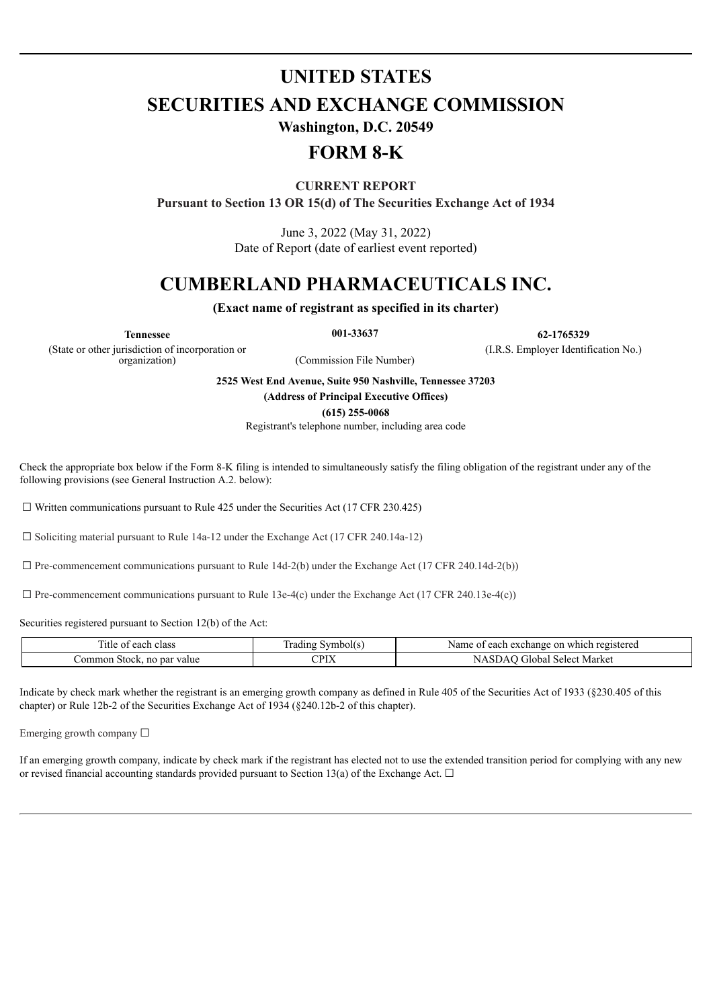## **UNITED STATES**

**SECURITIES AND EXCHANGE COMMISSION**

**Washington, D.C. 20549**

## **FORM 8-K**

**CURRENT REPORT**

**Pursuant to Section 13 OR 15(d) of The Securities Exchange Act of 1934**

June 3, 2022 (May 31, 2022) Date of Report (date of earliest event reported)

# **CUMBERLAND PHARMACEUTICALS INC.**

**(Exact name of registrant as specified in its charter)**

**Tennessee 001-33637 62-1765329**

(State or other jurisdiction of incorporation or

(Commission File Number)

(I.R.S. Employer Identification No.)

**2525 West End Avenue, Suite 950 Nashville, Tennessee 37203**

**(Address of Principal Executive Offices)**

**(615) 255-0068**

Registrant's telephone number, including area code

Check the appropriate box below if the Form 8-K filing is intended to simultaneously satisfy the filing obligation of the registrant under any of the following provisions (see General Instruction A.2. below):

 $\Box$  Written communications pursuant to Rule 425 under the Securities Act (17 CFR 230.425)

 $\Box$  Soliciting material pursuant to Rule 14a-12 under the Exchange Act (17 CFR 240.14a-12)

 $\Box$  Pre-commencement communications pursuant to Rule 14d-2(b) under the Exchange Act (17 CFR 240.14d-2(b))

 $\Box$  Pre-commencement communications pursuant to Rule 13e-4(c) under the Exchange Act (17 CFR 240.13e-4(c))

Securities registered pursuant to Section 12(b) of the Act:

| --<br>1tle<br>class<br>each<br>$\sim$<br>,,, | vmbolts<br>radıne | which<br>registered<br>Name<br>each<br>exchange<br>on<br>∶ ∩† |
|----------------------------------------------|-------------------|---------------------------------------------------------------|
| omr<br>value<br>mon<br>Stock.<br>par<br>no   | $\cap$ div<br>-17 | Market<br><b>ilobal</b><br>Selec'                             |

Indicate by check mark whether the registrant is an emerging growth company as defined in Rule 405 of the Securities Act of 1933 (§230.405 of this chapter) or Rule 12b-2 of the Securities Exchange Act of 1934 (§240.12b-2 of this chapter).

Emerging growth company ☐

If an emerging growth company, indicate by check mark if the registrant has elected not to use the extended transition period for complying with any new or revised financial accounting standards provided pursuant to Section 13(a) of the Exchange Act.  $\Box$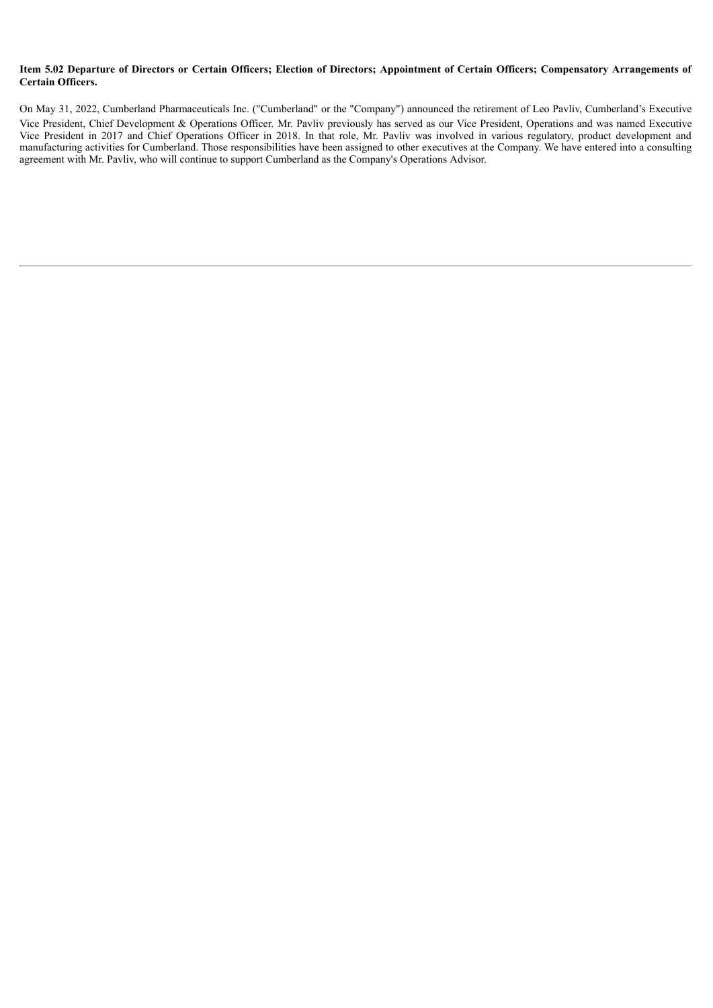#### Item 5.02 Departure of Directors or Certain Officers; Election of Directors; Appointment of Certain Officers; Compensatory Arrangements of **Certain Officers.**

On May 31, 2022, Cumberland Pharmaceuticals Inc. ("Cumberland" or the "Company") announced the retirement of Leo Pavliv, Cumberland's Executive Vice President, Chief Development & Operations Officer. Mr. Pavliv previously has served as our Vice President, Operations and was named Executive Vice President in 2017 and Chief Operations Officer in 2018. In that role, Mr. Pavliv was involved in various regulatory, product development and manufacturing activities for Cumberland. Those responsibilities have been assigned to other executives at the Company. We have entered into a consulting agreement with Mr. Pavliv, who will continue to support Cumberland as the Company's Operations Advisor.